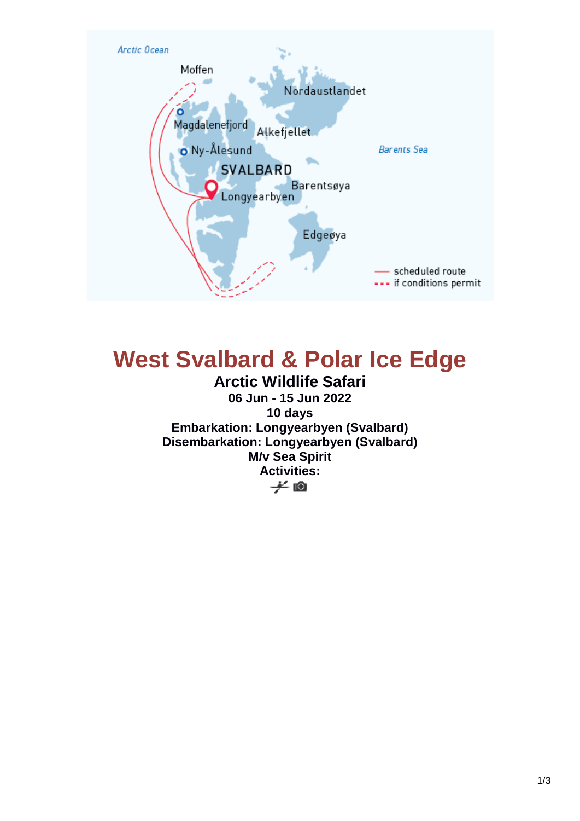

# **West Svalbard & Polar Ice Edge**

**Arctic Wildlife Safari 06 Jun - 15 Jun 2022 10 days Embarkation: Longyearbyen (Svalbard) Disembarkation: Longyearbyen (Svalbard) M/v Sea Spirit Activities:** $\neq$  0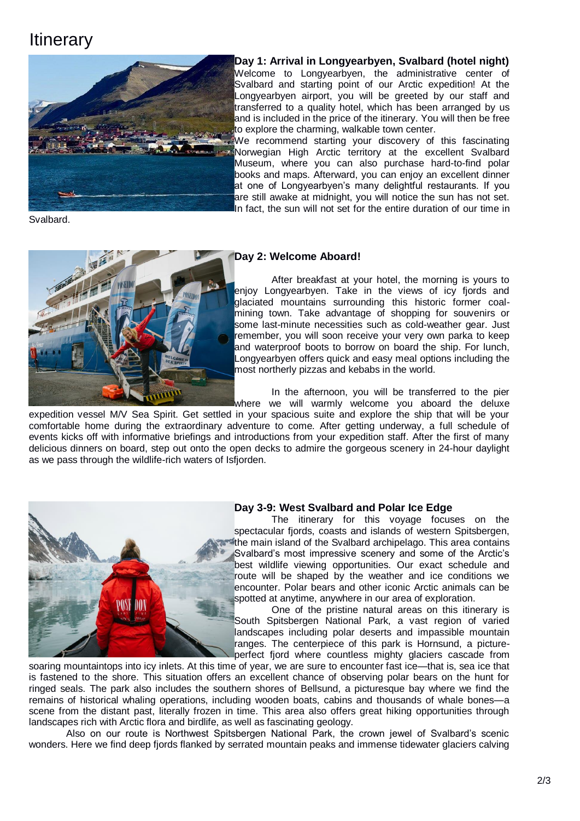## **Itinerary**



**Day 1: Arrival in Longyearbyen, Svalbard (hotel night)** Welcome to Longyearbyen, the administrative center of Svalbard and starting point of our Arctic expedition! At the Longyearbyen airport, you will be greeted by our staff and transferred to a quality hotel, which has been arranged by us and is included in the price of the itinerary. You will then be free to explore the charming, walkable town center.

We recommend starting your discovery of this fascinating Norwegian High Arctic territory at the excellent Svalbard Museum, where you can also purchase hard-to-find polar books and maps. Afterward, you can enjoy an excellent dinner at one of Longyearbyen's many delightful restaurants. If you are still awake at midnight, you will notice the sun has not set. In fact, the sun will not set for the entire duration of our time in

Svalbard.



### **Day 2: Welcome Aboard!**

After breakfast at your hotel, the morning is yours to enjoy Longyearbyen. Take in the views of icy fjords and glaciated mountains surrounding this historic former coalmining town. Take advantage of shopping for souvenirs or some last-minute necessities such as cold-weather gear. Just remember, you will soon receive your very own parka to keep and waterproof boots to borrow on board the ship. For lunch, Longyearbyen offers quick and easy meal options including the most northerly pizzas and kebabs in the world.

In the afternoon, you will be transferred to the pier where we will warmly welcome you aboard the deluxe

expedition vessel M/V Sea Spirit. Get settled in your spacious suite and explore the ship that will be your comfortable home during the extraordinary adventure to come. After getting underway, a full schedule of events kicks off with informative briefings and introductions from your expedition staff. After the first of many delicious dinners on board, step out onto the open decks to admire the gorgeous scenery in 24-hour daylight as we pass through the wildlife-rich waters of Isfjorden.



### **Day 3-9: West Svalbard and Polar Ice Edge**

The itinerary for this voyage focuses on the spectacular fjords, coasts and islands of western Spitsbergen, the main island of the Svalbard archipelago. This area contains Svalbard's most impressive scenery and some of the Arctic's best wildlife viewing opportunities. Our exact schedule and route will be shaped by the weather and ice conditions we encounter. Polar bears and other iconic Arctic animals can be spotted at anytime, anywhere in our area of exploration.

One of the pristine natural areas on this itinerary is South Spitsbergen National Park, a vast region of varied landscapes including polar deserts and impassible mountain ranges. The centerpiece of this park is Hornsund, a pictureperfect fjord where countless mighty glaciers cascade from

soaring mountaintops into icy inlets. At this time of year, we are sure to encounter fast ice—that is, sea ice that is fastened to the shore. This situation offers an excellent chance of observing polar bears on the hunt for ringed seals. The park also includes the southern shores of Bellsund, a picturesque bay where we find the remains of historical whaling operations, including wooden boats, cabins and thousands of whale bones—a scene from the distant past, literally frozen in time. This area also offers great hiking opportunities through landscapes rich with Arctic flora and birdlife, as well as fascinating geology.

Also on our route is Northwest Spitsbergen National Park, the crown jewel of Svalbard's scenic wonders. Here we find deep fjords flanked by serrated mountain peaks and immense tidewater glaciers calving